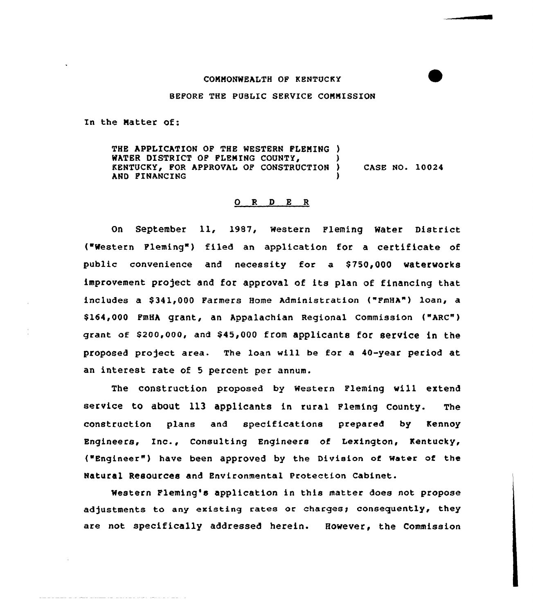## COMMONWEALTH OF KENTUCKY

## BEFORE THE PUBLIC SERVICE CONNISSION

In the Natter Of:

THE APPLICATION OF THE WESTERN FLENING ) WATER DISTRICT OF FLEMING COUNTY. KENTUCKY, FOR APPROVAL OF CONSTRUCTION ) AND FINANCING CASE NO. 10024

## O R D E R

On September ll, 1987, western Fleming Water District ( Western Fleming" ) filed an application for a certificate of public convenience and necessity for a \$750,000 waterworks improvement project and for approval of its plan of financing that includes a \$341,000 Farmers Home Administration ("FmHA") loan, a \$ 164,000 FmHA grant, an Appalachian Regional Commission ("ARC") grant of \$200,000, and \$45,000 from applicants for service in the proposed project area. The loan will be for a 40-year period at an interest rate of <sup>5</sup> percent per annum.

The construction proposed by western Fleming will extend service to about 113 applicants in rural Fleming County. The construction plans and specifications prepared by Kennoy Engineers, Inc., Consulting Engineers of Lexington, Kentucky, ("Engineer" ) have been approved by the Division of Water of the Natural Resources and Environmental Protection cabinet.

Western Fleming's application in this matter does not propose adjustments to any existing rates or charges; consequently, they are not specifically addressed herein. However, the Commission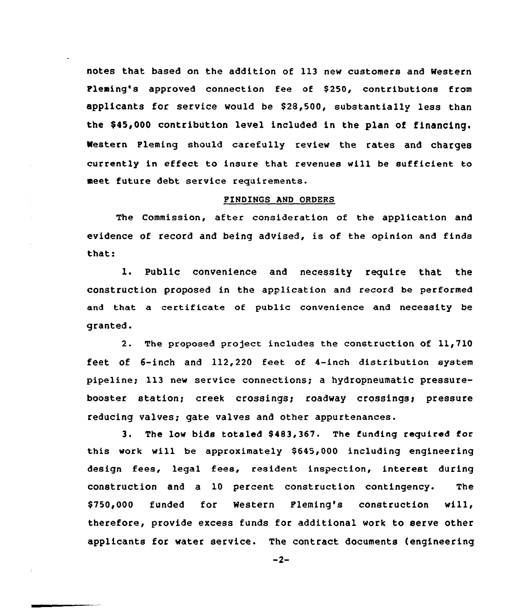notes that based on the addition of 113 new customers and Western Pleming's approved connection fee of \$250, contributions from applicants for service would be \$28,500, substantially less than the \$45,000 contribution level included in the plan of financing. western Fleming should carefully review the rates and charges currently in effect to insure that revenues will be sufficient to meet future debt service requirements.

## FINDINGS AND ORDERS

The Commission, after consideration of the application and evidence of record and being advised, is of the opinion and finds that:

l. Public convenience and necessity require that the construction proposed in the application and record be performed and that a certificate of public convenience and necessity be granted.

2. The proposed project includes the construction of 11,710 feet of 6-inch and 112,220 feet of 4-inch distribution system pipeline; 113 new service connections; a hydropneumatic pressurebooster station; creek crossings; roadway crossings; pressure reducing valves; gate valves and other appurtenances.

3. The low bids totaled 8483,367. The funding required for this work will be approximately \$645,000 including engineering design fees, legal fees, resident inspection, interest during construction and a 10 percent construction contingency. The \$750,000 funded for Western Fleming's construction will, therefore, provide excess funds for additional work to serve other applicants for water service. The contract documents (engineering

 $-2-$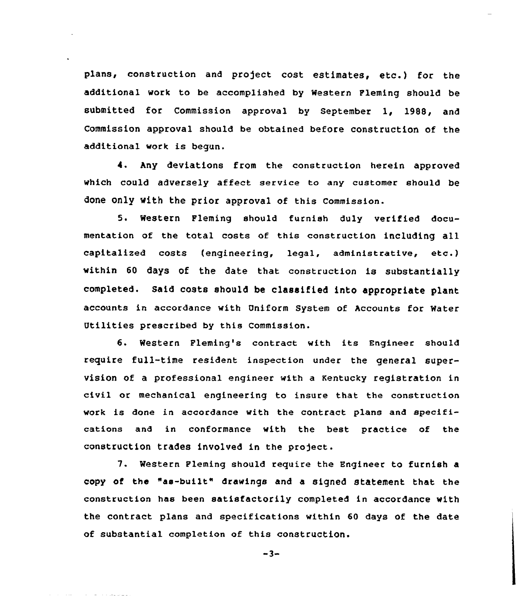plans, construction and project cost estimates, etc.) for the additional work to be accomplished by Western Fleming should be submitted for Commission approval by September 1, 1988, and Commission approval should be obtained before construction of the additional work is begun.

4. Any deviations from the construction herein approved which could adversely affect service to any customer should be done only with the prior approval of this Commission.

5. Western Fleming should furnish duly verified documentation of the total costs of this construction including all capitalized costs (engineering, legal, administrative, etc.) within 60 days of the date that construction is substantially completed. Said costs should be classified into appropriate plant accounts in accordance with Uniform System of Accounts for Water Utilities prescribed by this Commission.

6. Western Fleming's contract with its Engineer should require fulL-time resident inspection under the general supervision of a professional engineer with a Kentucky registration in civil or mechanical engineering to insure that the construction work is done in accordance with the contract plans and specifications and in conformance with the best practice of the construction trades involved in the project.

7. Western Pleming should require the Engineer to furnish a copy of the "as-built" drawings and a signed statement that the construction has been satisfactorily completed in accordance with the contract plans and specifications within 60 days of the date of substantial completion of this construction.

 $-3-$ 

والواقد وعراباته والمستحدث والمتناور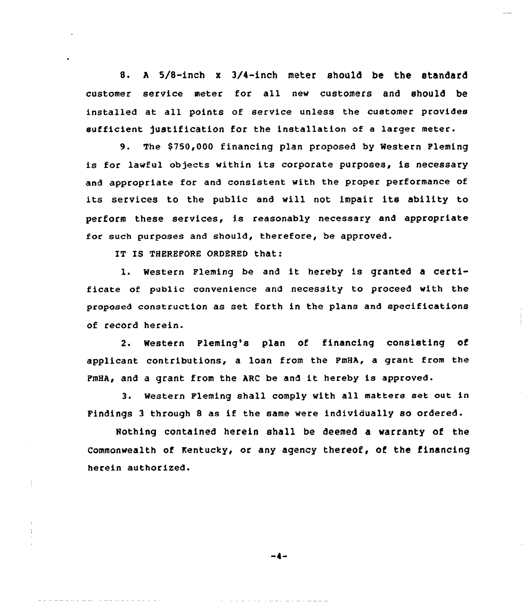8. <sup>A</sup> 5/8-inch <sup>x</sup> 3/4-inch meter should be the standard customer service meter for all new customers and should be installed at all points of service unless the customer provides sufficient justification for the installation of a larger meter.

9. The \$750,000 financing plan proposed by Western Fleming is for lawful objects within its corporate purposes, is necessary and appropriate for and consistent with the proper performance of its services to the public and will not impair its ability to perform these services, is reasonably necessary and appropriate for such purposes and should, therefore, be approved.

IT IS THEREFORE ORDERED that:

1. Western Fleming be and it hereby is granted <sup>a</sup> certificate of public convenience and necessity to proceed with the proposed construction as set forth in the plans and specifications of record herein.

2. Western Fleming's plan of financing consisting of applicant contributions, a loan from the FmHA, a grant from the FmHA, and <sup>a</sup> grant from the ARC be and it hereby is approved.

3. Western Fleming shall comply with all matters set out in Findings <sup>3</sup> through <sup>8</sup> as if the same were individually so ordered.

Nothing contained herein shall be deemed a warranty of the commonwealth of Kentucky, or any agency thereof, of the financing herein authorised.

-4-